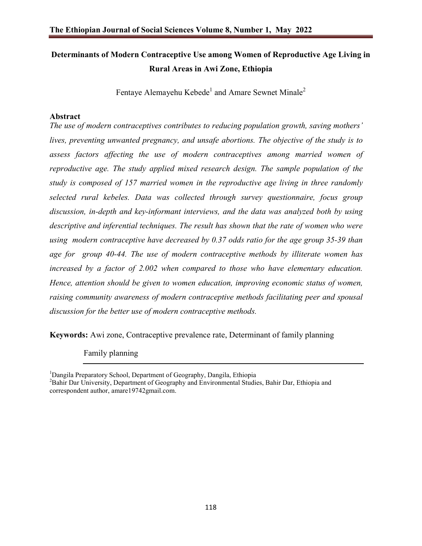# **Determinants of Modern Contraceptive Use among Women of Reproductive Age Living in Rural Areas in Awi Zone, Ethiopia**

Fentaye Alemayehu Kebede<sup>1</sup> and Amare Sewnet Minale<sup>2</sup>

## **Abstract**

*The use of modern contraceptives contributes to reducing population growth, saving mothers' lives, preventing unwanted pregnancy, and unsafe abortions. The objective of the study is to assess factors affecting the use of modern contraceptives among married women of reproductive age. The study applied mixed research design. The sample population of the study is composed of 157 married women in the reproductive age living in three randomly selected rural kebeles. Data was collected through survey questionnaire, focus group discussion, in-depth and key-informant interviews, and the data was analyzed both by using descriptive and inferential techniques. The result has shown that the rate of women who were using modern contraceptive have decreased by 0.37 odds ratio for the age group 35-39 than age for group 40-44. The use of modern contraceptive methods by illiterate women has increased by a factor of 2.002 when compared to those who have elementary education. Hence, attention should be given to women education, improving economic status of women, raising community awareness of modern contraceptive methods facilitating peer and spousal discussion for the better use of modern contraceptive methods.* 

**Keywords:** Awi zone, Contraceptive prevalence rate, Determinant of family planning

Family planning

<sup>&</sup>lt;sup>1</sup>Dangila Preparatory School, Department of Geography, Dangila, Ethiopia <sup>2</sup> Behir Dan University, Dangstront of Geography and Environmental Studies

<sup>&</sup>lt;sup>2</sup>Bahir Dar University, Department of Geography and Environmental Studies, Bahir Dar, Ethiopia and correspondent author, amare19742gmail.com.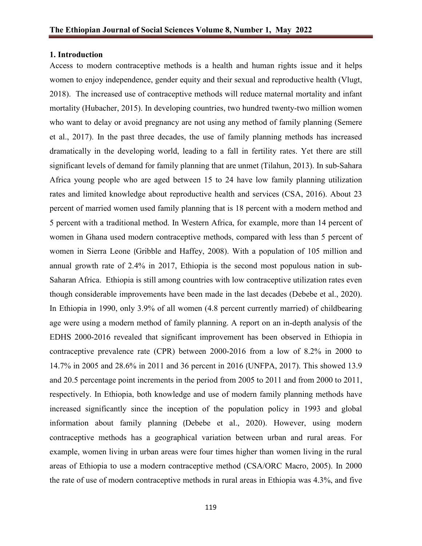#### **1. Introduction**

Access to modern contraceptive methods is a health and human rights issue and it helps women to enjoy independence, gender equity and their sexual and reproductive health (Vlugt, 2018). The increased use of contraceptive methods will reduce maternal mortality and infant mortality (Hubacher, 2015). In developing countries, two hundred twenty-two million women who want to delay or avoid pregnancy are not using any method of family planning (Semere et al., 2017). In the past three decades, the use of family planning methods has increased dramatically in the developing world, leading to a fall in fertility rates. Yet there are still significant levels of demand for family planning that are unmet (Tilahun, 2013). In sub-Sahara Africa young people who are aged between 15 to 24 have low family planning utilization rates and limited knowledge about reproductive health and services (CSA, 2016). About 23 percent of married women used family planning that is 18 percent with a modern method and 5 percent with a traditional method. In Western Africa, for example, more than 14 percent of women in Ghana used modern contraceptive methods, compared with less than 5 percent of women in Sierra Leone (Gribble and Haffey, 2008). With a population of 105 million and annual growth rate of 2.4% in 2017, Ethiopia is the second most populous nation in sub-Saharan Africa. Ethiopia is still among countries with low contraceptive utilization rates even though considerable improvements have been made in the last decades (Debebe et al., 2020). In Ethiopia in 1990, only 3.9% of all women (4.8 percent currently married) of childbearing age were using a modern method of family planning. A report on an in-depth analysis of the EDHS 2000-2016 revealed that significant improvement has been observed in Ethiopia in contraceptive prevalence rate (CPR) between 2000-2016 from a low of 8.2% in 2000 to 14.7% in 2005 and 28.6% in 2011 and 36 percent in 2016 (UNFPA, 2017). This showed 13.9 and 20.5 percentage point increments in the period from 2005 to 2011 and from 2000 to 2011, respectively. In Ethiopia, both knowledge and use of modern family planning methods have increased significantly since the inception of the population policy in 1993 and global information about family planning (Debebe et al., 2020). However, using modern contraceptive methods has a geographical variation between urban and rural areas. For example, women living in urban areas were four times higher than women living in the rural areas of Ethiopia to use a modern contraceptive method (CSA/ORC Macro, 2005). In 2000 the rate of use of modern contraceptive methods in rural areas in Ethiopia was 4.3%, and five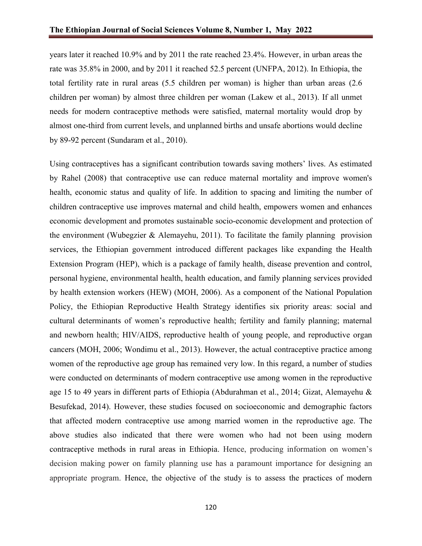years later it reached 10.9% and by 2011 the rate reached 23.4%. However, in urban areas the rate was 35.8% in 2000, and by 2011 it reached 52.5 percent (UNFPA, 2012). In Ethiopia, the total fertility rate in rural areas (5.5 children per woman) is higher than urban areas (2.6 children per woman) by almost three children per woman (Lakew et al., 2013). If all unmet needs for modern contraceptive methods were satisfied, maternal mortality would drop by almost one-third from current levels, and unplanned births and unsafe abortions would decline by 89-92 percent (Sundaram et al., 2010).

Using contraceptives has a significant contribution towards saving mothers' lives. As estimated by Rahel (2008) that contraceptive use can reduce maternal mortality and improve women's health, economic status and quality of life. In addition to spacing and limiting the number of children contraceptive use improves maternal and child health, empowers women and enhances economic development and promotes sustainable socio-economic development and protection of the environment (Wubegzier & Alemayehu, 2011). To facilitate the family planning provision services, the Ethiopian government introduced different packages like expanding the Health Extension Program (HEP), which is a package of family health, disease prevention and control, personal hygiene, environmental health, health education, and family planning services provided by health extension workers (HEW) (MOH, 2006). As a component of the National Population Policy, the Ethiopian Reproductive Health Strategy identifies six priority areas: social and cultural determinants of women's reproductive health; fertility and family planning; maternal and newborn health; HIV/AIDS, reproductive health of young people, and reproductive organ cancers (MOH, 2006; Wondimu et al., 2013). However, the actual contraceptive practice among women of the reproductive age group has remained very low. In this regard, a number of studies were conducted on determinants of modern contraceptive use among women in the reproductive age 15 to 49 years in different parts of Ethiopia (Abdurahman et al., 2014; Gizat, Alemayehu & Besufekad, 2014). However, these studies focused on socioeconomic and demographic factors that affected modern contraceptive use among married women in the reproductive age. The above studies also indicated that there were women who had not been using modern contraceptive methods in rural areas in Ethiopia. Hence, producing information on women's decision making power on family planning use has a paramount importance for designing an appropriate program. Hence, the objective of the study is to assess the practices of modern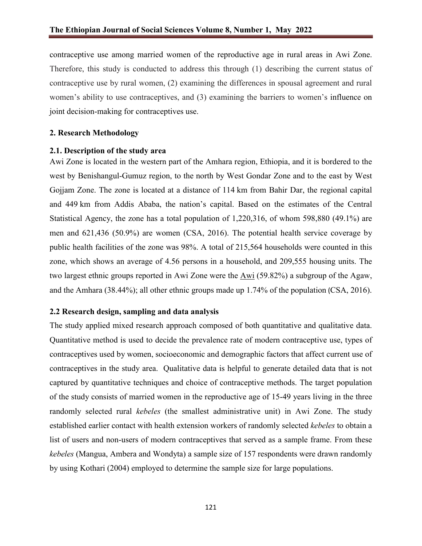contraceptive use among married women of the reproductive age in rural areas in Awi Zone. Therefore, this study is conducted to address this through (1) describing the current status of contraceptive use by rural women, (2) examining the differences in spousal agreement and rural women's ability to use contraceptives, and (3) examining the barriers to women's influence on joint decision-making for contraceptives use.

## **2. Research Methodology**

#### **2.1. Description of the study area**

Awi Zone is located in the western part of the Amhara region, Ethiopia, and it is bordered to the west by Benishangul-Gumuz region, to the north by West Gondar Zone and to the east by West Gojjam Zone. The zone is located at a distance of 114 km from Bahir Dar, the regional capital and 449 km from Addis Ababa, the nation's capital. Based on the estimates of the Central Statistical Agency, the zone has a total population of 1,220,316, of whom 598,880 (49.1%) are men and 621,436 (50.9%) are women (CSA, 2016). The potential health service coverage by public health facilities of the zone was 98%. A total of 215,564 households were counted in this zone, which shows an average of 4.56 persons in a household, and 209,555 housing units. The two largest ethnic groups reported in Awi Zone were the Awi (59.82%) a subgroup of the Agaw, and the Amhara (38.44%); all other ethnic groups made up 1.74% of the population (CSA, 2016).

## **2.2 Research design, sampling and data analysis**

The study applied mixed research approach composed of both quantitative and qualitative data. Quantitative method is used to decide the prevalence rate of modern contraceptive use, types of contraceptives used by women, socioeconomic and demographic factors that affect current use of contraceptives in the study area. Qualitative data is helpful to generate detailed data that is not captured by quantitative techniques and choice of contraceptive methods. The target population of the study consists of married women in the reproductive age of 15-49 years living in the three randomly selected rural *kebeles* (the smallest administrative unit) in Awi Zone. The study established earlier contact with health extension workers of randomly selected *kebeles* to obtain a list of users and non-users of modern contraceptives that served as a sample frame. From these *kebeles* (Mangua, Ambera and Wondyta) a sample size of 157 respondents were drawn randomly by using Kothari (2004) employed to determine the sample size for large populations.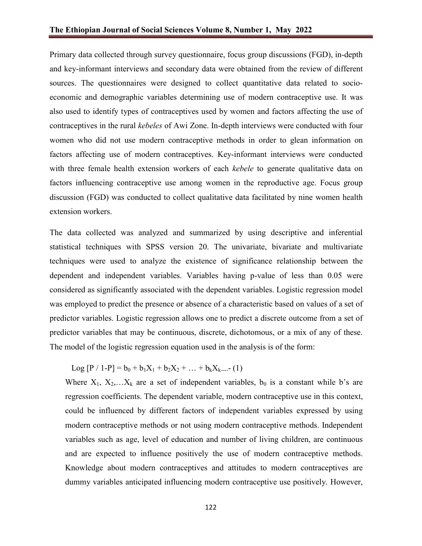Primary data collected through survey questionnaire, focus group discussions (FGD), in-depth and key-informant interviews and secondary data were obtained from the review of different sources. The questionnaires were designed to collect quantitative data related to socioeconomic and demographic variables determining use of modern contraceptive use. It was also used to identify types of contraceptives used by women and factors affecting the use of contraceptives in the rural *kebeles* of Awi Zone. In-depth interviews were conducted with four women who did not use modern contraceptive methods in order to glean information on factors affecting use of modern contraceptives. Key-informant interviews were conducted with three female health extension workers of each *kebele* to generate qualitative data on factors influencing contraceptive use among women in the reproductive age. Focus group discussion (FGD) was conducted to collect qualitative data facilitated by nine women health extension workers.

The data collected was analyzed and summarized by using descriptive and inferential statistical techniques with SPSS version 20. The univariate, bivariate and multivariate techniques were used to analyze the existence of significance relationship between the dependent and independent variables. Variables having p-value of less than 0.05 were considered as significantly associated with the dependent variables. Logistic regression model was employed to predict the presence or absence of a characteristic based on values of a set of predictor variables. Logistic regression allows one to predict a discrete outcome from a set of predictor variables that may be continuous, discrete, dichotomous, or a mix of any of these. The model of the logistic regression equation used in the analysis is of the form:

Log  $[P / 1-P] = b_0 + b_1X_1 + b_2X_2 + ... + b_kX_{k-1}$  (1)

Where  $X_1, X_2,...X_k$  are a set of independent variables,  $b_0$  is a constant while b's are regression coefficients. The dependent variable, modern contraceptive use in this context, could be influenced by different factors of independent variables expressed by using modern contraceptive methods or not using modern contraceptive methods. Independent variables such as age, level of education and number of living children, are continuous and are expected to influence positively the use of modern contraceptive methods. Knowledge about modern contraceptives and attitudes to modern contraceptives are dummy variables anticipated influencing modern contraceptive use positively. However,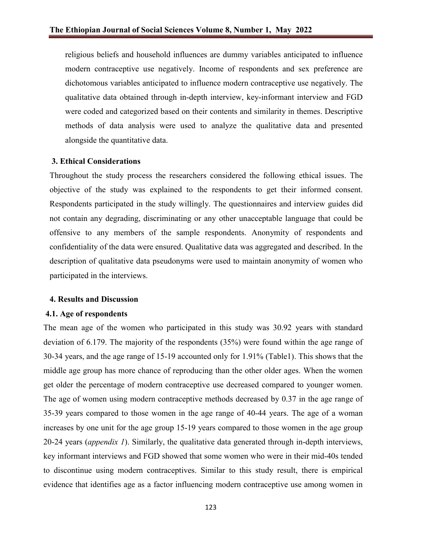religious beliefs and household influences are dummy variables anticipated to influence modern contraceptive use negatively. Income of respondents and sex preference are dichotomous variables anticipated to influence modern contraceptive use negatively. The qualitative data obtained through in-depth interview, key-informant interview and FGD were coded and categorized based on their contents and similarity in themes. Descriptive methods of data analysis were used to analyze the qualitative data and presented alongside the quantitative data.

#### **3. Ethical Considerations**

Throughout the study process the researchers considered the following ethical issues. The objective of the study was explained to the respondents to get their informed consent. Respondents participated in the study willingly. The questionnaires and interview guides did not contain any degrading, discriminating or any other unacceptable language that could be offensive to any members of the sample respondents. Anonymity of respondents and confidentiality of the data were ensured. Qualitative data was aggregated and described. In the description of qualitative data pseudonyms were used to maintain anonymity of women who participated in the interviews.

#### **4. Results and Discussion**

#### **4.1. Age of respondents**

The mean age of the women who participated in this study was 30.92 years with standard deviation of 6.179. The majority of the respondents (35%) were found within the age range of 30-34 years, and the age range of 15-19 accounted only for 1.91% (Table1). This shows that the middle age group has more chance of reproducing than the other older ages. When the women get older the percentage of modern contraceptive use decreased compared to younger women. The age of women using modern contraceptive methods decreased by 0.37 in the age range of 35-39 years compared to those women in the age range of 40-44 years. The age of a woman increases by one unit for the age group 15-19 years compared to those women in the age group 20-24 years (*appendix 1*). Similarly, the qualitative data generated through in-depth interviews, key informant interviews and FGD showed that some women who were in their mid-40s tended to discontinue using modern contraceptives. Similar to this study result, there is empirical evidence that identifies age as a factor influencing modern contraceptive use among women in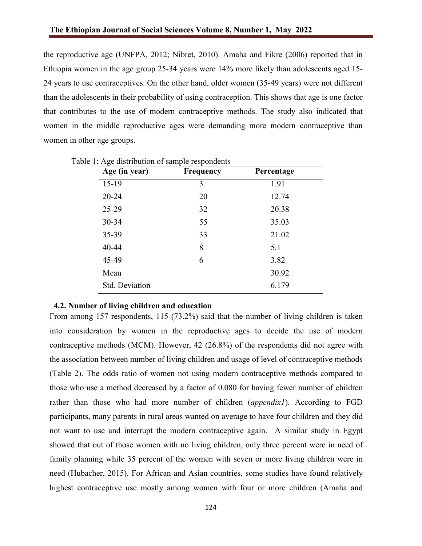the reproductive age (UNFPA, 2012; Nibret, 2010). Amaha and Fikre (2006) reported that in Ethiopia women in the age group 25-34 years were 14% more likely than adolescents aged 15- 24 years to use contraceptives. On the other hand, older women (35-49 years) were not different than the adolescents in their probability of using contraception. This shows that age is one factor that contributes to the use of modern contraceptive methods. The study also indicated that women in the middle reproductive ages were demanding more modern contraceptive than women in other age groups.

| Age (in year)  | <b>Frequency</b> | Percentage |
|----------------|------------------|------------|
| $15-19$        | 3                | 1.91       |
| $20 - 24$      | 20               | 12.74      |
| $25 - 29$      | 32               | 20.38      |
| 30-34          | 55               | 35.03      |
| 35-39          | 33               | 21.02      |
| 40-44          | 8                | 5.1        |
| 45-49          | 6                | 3.82       |
| Mean           |                  | 30.92      |
| Std. Deviation |                  | 6.179      |

Table 1: Age distribution of sample respondents

#### **4.2. Number of living children and education**

From among 157 respondents, 115 (73.2%) said that the number of living children is taken into consideration by women in the reproductive ages to decide the use of modern contraceptive methods (MCM). However, 42 (26.8%) of the respondents did not agree with the association between number of living children and usage of level of contraceptive methods (Table 2). The odds ratio of women not using modern contraceptive methods compared to those who use a method decreased by a factor of 0.080 for having fewer number of children rather than those who had more number of children (*appendix1*). According to FGD participants, many parents in rural areas wanted on average to have four children and they did not want to use and interrupt the modern contraceptive again. A similar study in Egypt showed that out of those women with no living children, only three percent were in need of family planning while 35 percent of the women with seven or more living children were in need (Hubacher, 2015). For African and Asian countries, some studies have found relatively highest contraceptive use mostly among women with four or more children (Amaha and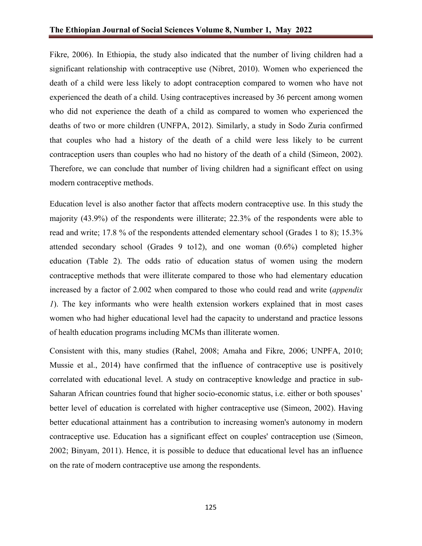Fikre, 2006). In Ethiopia, the study also indicated that the number of living children had a significant relationship with contraceptive use (Nibret, 2010). Women who experienced the death of a child were less likely to adopt contraception compared to women who have not experienced the death of a child. Using contraceptives increased by 36 percent among women who did not experience the death of a child as compared to women who experienced the deaths of two or more children (UNFPA, 2012). Similarly, a study in Sodo Zuria confirmed that couples who had a history of the death of a child were less likely to be current contraception users than couples who had no history of the death of a child (Simeon, 2002). Therefore, we can conclude that number of living children had a significant effect on using modern contraceptive methods.

Education level is also another factor that affects modern contraceptive use. In this study the majority (43.9%) of the respondents were illiterate; 22.3% of the respondents were able to read and write; 17.8 % of the respondents attended elementary school (Grades 1 to 8); 15.3% attended secondary school (Grades 9 to12), and one woman (0.6%) completed higher education (Table 2). The odds ratio of education status of women using the modern contraceptive methods that were illiterate compared to those who had elementary education increased by a factor of 2.002 when compared to those who could read and write (*appendix 1*). The key informants who were health extension workers explained that in most cases women who had higher educational level had the capacity to understand and practice lessons of health education programs including MCMs than illiterate women.

Consistent with this, many studies (Rahel, 2008; Amaha and Fikre, 2006; UNPFA, 2010; Mussie et al., 2014) have confirmed that the influence of contraceptive use is positively correlated with educational level. A study on contraceptive knowledge and practice in sub-Saharan African countries found that higher socio-economic status, i.e. either or both spouses' better level of education is correlated with higher contraceptive use (Simeon, 2002). Having better educational attainment has a contribution to increasing women's autonomy in modern contraceptive use. Education has a significant effect on couples' contraception use (Simeon, 2002; Binyam, 2011). Hence, it is possible to deduce that educational level has an influence on the rate of modern contraceptive use among the respondents.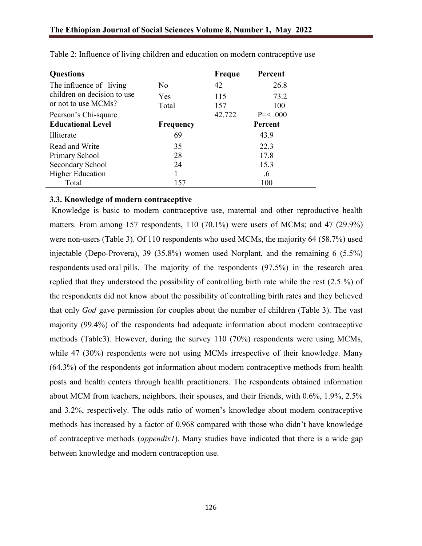| <b>Questions</b>            |           | <b>Freque</b> | Percent        |
|-----------------------------|-----------|---------------|----------------|
| The influence of living     | No        | 42            | 26.8           |
| children on decision to use | Yes       | 115           | 73.2           |
| or not to use MCMs?         | Total     | 157           | 100            |
| Pearson's Chi-square        |           | 42.722        | $P = 0.000$    |
| <b>Educational Level</b>    | Frequency |               | <b>Percent</b> |
| Illiterate                  | 69        |               | 43.9           |
| Read and Write              | 35        |               | 22.3           |
| Primary School              | 28        |               | 17.8           |
| Secondary School            | 24        |               | 15.3           |
| <b>Higher Education</b>     |           |               | .6             |
| Total                       | 157       |               | 100            |

Table 2: Influence of living children and education on modern contraceptive use

## **3.3. Knowledge of modern contraceptive**

Knowledge is basic to modern contraceptive use, maternal and other reproductive health matters. From among 157 respondents, 110 (70.1%) were users of MCMs; and 47 (29.9%) were non-users (Table 3). Of 110 respondents who used MCMs, the majority 64 (58.7%) used injectable (Depo-Provera), 39 (35.8%) women used Norplant, and the remaining 6 (5.5%) respondents used oral pills. The majority of the respondents (97.5%) in the research area replied that they understood the possibility of controlling birth rate while the rest (2.5 %) of the respondents did not know about the possibility of controlling birth rates and they believed that only *God* gave permission for couples about the number of children (Table 3). The vast majority (99.4%) of the respondents had adequate information about modern contraceptive methods (Table3). However, during the survey 110 (70%) respondents were using MCMs, while 47 (30%) respondents were not using MCMs irrespective of their knowledge. Many (64.3%) of the respondents got information about modern contraceptive methods from health posts and health centers through health practitioners. The respondents obtained information about MCM from teachers, neighbors, their spouses, and their friends, with 0.6%, 1.9%, 2.5% and 3.2%, respectively. The odds ratio of women's knowledge about modern contraceptive methods has increased by a factor of 0.968 compared with those who didn't have knowledge of contraceptive methods (*appendix1*). Many studies have indicated that there is a wide gap between knowledge and modern contraception use.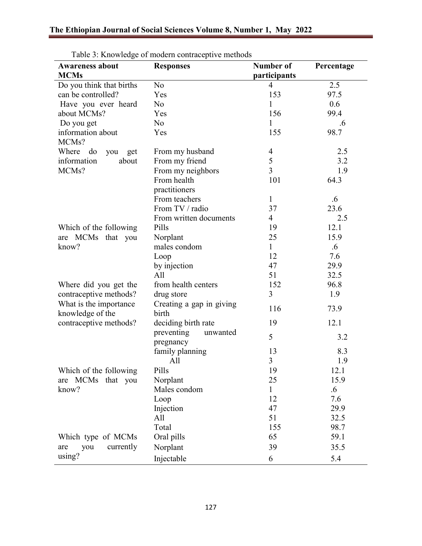| <b>Awareness about</b>                     | Tuoto 3: Truo wiedzo of modern contraceptive methods<br><b>Responses</b> | Number of      | Percentage |
|--------------------------------------------|--------------------------------------------------------------------------|----------------|------------|
| <b>MCMs</b>                                |                                                                          | participants   |            |
| Do you think that births                   | N <sub>o</sub>                                                           | $\overline{4}$ | 2.5        |
| can be controlled?                         | Yes                                                                      | 153            | 97.5       |
| Have you ever heard                        | N <sub>o</sub>                                                           | 1              | 0.6        |
| about MCMs?                                | Yes                                                                      | 156            | 99.4       |
| Do you get                                 | N <sub>o</sub>                                                           | 1              | .6         |
| information about                          | Yes                                                                      | 155            | 98.7       |
| MCMs?                                      |                                                                          |                |            |
| Where do<br>you get                        | From my husband                                                          | $\overline{4}$ | 2.5        |
| information<br>about                       | From my friend                                                           | 5              | 3.2        |
| MCMs?                                      | From my neighbors                                                        | $\overline{3}$ | 1.9        |
|                                            | From health                                                              | 101            | 64.3       |
|                                            | practitioners                                                            |                |            |
|                                            | From teachers                                                            | $\mathbf{1}$   | .6         |
|                                            | From TV / radio                                                          | 37             | 23.6       |
|                                            | From written documents                                                   | $\overline{4}$ | 2.5        |
| Which of the following                     | Pills                                                                    | 19             | 12.1       |
| are MCMs that you                          | Norplant                                                                 | 25             | 15.9       |
| know?                                      | males condom                                                             | $\mathbf{1}$   | $.6\,$     |
|                                            | Loop                                                                     | 12             | 7.6        |
|                                            | by injection                                                             | 47             | 29.9       |
|                                            | All                                                                      | 51             | 32.5       |
| Where did you get the                      | from health centers                                                      | 152            | 96.8       |
| contraceptive methods?                     | drug store                                                               | 3              | 1.9        |
| What is the importance<br>knowledge of the | Creating a gap in giving<br>birth                                        | 116            | 73.9       |
| contraceptive methods?                     | deciding birth rate                                                      | 19             | 12.1       |
|                                            | preventing<br>unwanted<br>pregnancy                                      | 5              | 3.2        |
|                                            | family planning                                                          | 13             | 8.3        |
|                                            | All                                                                      | 3              | 1.9        |
| Which of the following                     | Pills                                                                    | 19             | 12.1       |
| are MCMs that you                          | Norplant                                                                 | 25             | 15.9       |
| know?                                      | Males condom                                                             | $\mathbf{1}$   | $.6\,$     |
|                                            | Loop                                                                     | 12             | 7.6        |
|                                            | Injection                                                                | 47             | 29.9       |
|                                            | All                                                                      | 51             | 32.5       |
|                                            | Total                                                                    | 155            | 98.7       |
| Which type of MCMs                         | Oral pills                                                               | 65             | 59.1       |
| currently<br>you<br>are                    | Norplant                                                                 | 39             | 35.5       |
| using?                                     | Injectable                                                               | 6              | 5.4        |

Table 3: Knowledge of modern contraceptive methods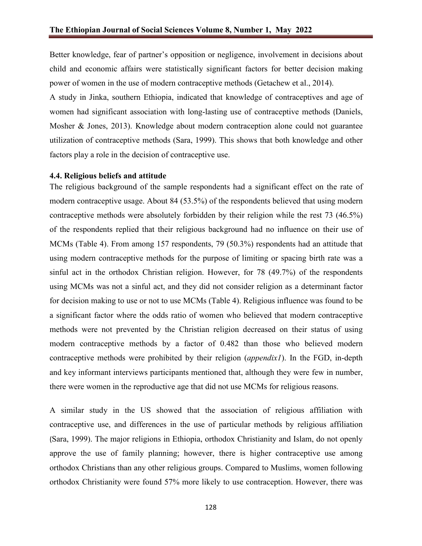Better knowledge, fear of partner's opposition or negligence, involvement in decisions about child and economic affairs were statistically significant factors for better decision making power of women in the use of modern contraceptive methods (Getachew et al., 2014).

A study in Jinka, southern Ethiopia, indicated that knowledge of contraceptives and age of women had significant association with long-lasting use of contraceptive methods (Daniels, Mosher & Jones, 2013). Knowledge about modern contraception alone could not guarantee utilization of contraceptive methods (Sara, 1999). This shows that both knowledge and other factors play a role in the decision of contraceptive use.

#### **4.4. Religious beliefs and attitude**

The religious background of the sample respondents had a significant effect on the rate of modern contraceptive usage. About 84 (53.5%) of the respondents believed that using modern contraceptive methods were absolutely forbidden by their religion while the rest 73 (46.5%) of the respondents replied that their religious background had no influence on their use of MCMs (Table 4). From among 157 respondents, 79 (50.3%) respondents had an attitude that using modern contraceptive methods for the purpose of limiting or spacing birth rate was a sinful act in the orthodox Christian religion. However, for 78 (49.7%) of the respondents using MCMs was not a sinful act, and they did not consider religion as a determinant factor for decision making to use or not to use MCMs (Table 4). Religious influence was found to be a significant factor where the odds ratio of women who believed that modern contraceptive methods were not prevented by the Christian religion decreased on their status of using modern contraceptive methods by a factor of 0.482 than those who believed modern contraceptive methods were prohibited by their religion (*appendix1*). In the FGD, in-depth and key informant interviews participants mentioned that, although they were few in number, there were women in the reproductive age that did not use MCMs for religious reasons.

A similar study in the US showed that the association of religious affiliation with contraceptive use, and differences in the use of particular methods by religious affiliation (Sara, 1999). The major religions in Ethiopia, orthodox Christianity and Islam, do not openly approve the use of family planning; however, there is higher contraceptive use among orthodox Christians than any other religious groups. Compared to Muslims, women following orthodox Christianity were found 57% more likely to use contraception. However, there was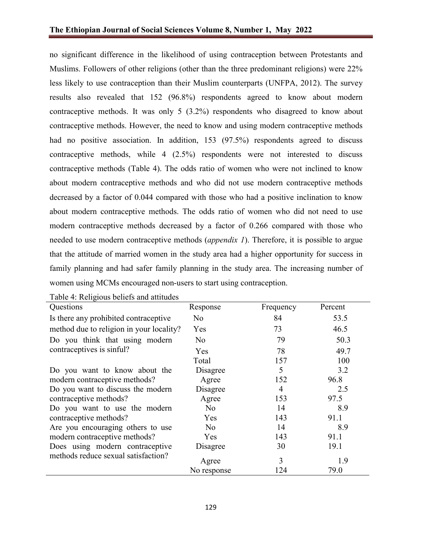no significant difference in the likelihood of using contraception between Protestants and Muslims. Followers of other religions (other than the three predominant religions) were 22% less likely to use contraception than their Muslim counterparts (UNFPA, 2012). The survey results also revealed that 152 (96.8%) respondents agreed to know about modern contraceptive methods. It was only 5 (3.2%) respondents who disagreed to know about contraceptive methods. However, the need to know and using modern contraceptive methods had no positive association. In addition, 153 (97.5%) respondents agreed to discuss contraceptive methods, while 4 (2.5%) respondents were not interested to discuss contraceptive methods (Table 4). The odds ratio of women who were not inclined to know about modern contraceptive methods and who did not use modern contraceptive methods decreased by a factor of 0.044 compared with those who had a positive inclination to know about modern contraceptive methods. The odds ratio of women who did not need to use modern contraceptive methods decreased by a factor of 0.266 compared with those who needed to use modern contraceptive methods (*appendix 1*). Therefore, it is possible to argue that the attitude of married women in the study area had a higher opportunity for success in family planning and had safer family planning in the study area. The increasing number of women using MCMs encouraged non-users to start using contraception.

| Questions                                | Response    | Frequency | Percent |
|------------------------------------------|-------------|-----------|---------|
| Is there any prohibited contraceptive    | No          | 84        | 53.5    |
| method due to religion in your locality? | Yes         | 73        | 46.5    |
| Do you think that using modern           | No          | 79        | 50.3    |
| contraceptives is sinful?                | Yes         | 78        | 49.7    |
|                                          | Total       | 157       | 100     |
| Do you want to know about the            | Disagree    | 5         | 3.2     |
| modern contraceptive methods?            | Agree       | 152       | 96.8    |
| Do you want to discuss the modern        | Disagree    | 4         | 2.5     |
| contraceptive methods?                   | Agree       | 153       | 97.5    |
| Do you want to use the modern            | No.         | 14        | 8.9     |
| contraceptive methods?                   | Yes         | 143       | 91.1    |
| Are you encouraging others to use        | No          | 14        | 8.9     |
| modern contraceptive methods?            | Yes         | 143       | 91.1    |
| Does using modern contraceptive          | Disagree    | 30        | 19.1    |
| methods reduce sexual satisfaction?      | Agree       | 3         | 1.9     |
|                                          | No response | 124       | 79.0    |

Table 4: Religious beliefs and attitudes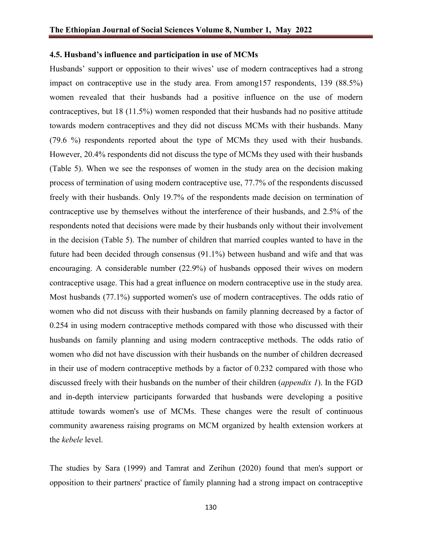#### **4.5. Husband's influence and participation in use of MCMs**

Husbands' support or opposition to their wives' use of modern contraceptives had a strong impact on contraceptive use in the study area. From among157 respondents, 139 (88.5%) women revealed that their husbands had a positive influence on the use of modern contraceptives, but 18 (11.5%) women responded that their husbands had no positive attitude towards modern contraceptives and they did not discuss MCMs with their husbands. Many (79.6 %) respondents reported about the type of MCMs they used with their husbands. However, 20.4% respondents did not discuss the type of MCMs they used with their husbands (Table 5). When we see the responses of women in the study area on the decision making process of termination of using modern contraceptive use, 77.7% of the respondents discussed freely with their husbands. Only 19.7% of the respondents made decision on termination of contraceptive use by themselves without the interference of their husbands, and 2.5% of the respondents noted that decisions were made by their husbands only without their involvement in the decision (Table 5). The number of children that married couples wanted to have in the future had been decided through consensus (91.1%) between husband and wife and that was encouraging. A considerable number (22.9%) of husbands opposed their wives on modern contraceptive usage. This had a great influence on modern contraceptive use in the study area. Most husbands (77.1%) supported women's use of modern contraceptives. The odds ratio of women who did not discuss with their husbands on family planning decreased by a factor of 0.254 in using modern contraceptive methods compared with those who discussed with their husbands on family planning and using modern contraceptive methods. The odds ratio of women who did not have discussion with their husbands on the number of children decreased in their use of modern contraceptive methods by a factor of 0.232 compared with those who discussed freely with their husbands on the number of their children (*appendix 1*). In the FGD and in-depth interview participants forwarded that husbands were developing a positive attitude towards women's use of MCMs. These changes were the result of continuous community awareness raising programs on MCM organized by health extension workers at the *kebele* level.

The studies by Sara (1999) and Tamrat and Zerihun (2020) found that men's support or opposition to their partners' practice of family planning had a strong impact on contraceptive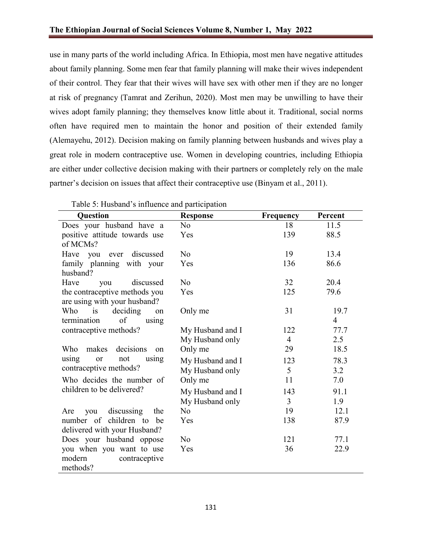use in many parts of the world including Africa. In Ethiopia, most men have negative attitudes about family planning. Some men fear that family planning will make their wives independent of their control. They fear that their wives will have sex with other men if they are no longer at risk of pregnancy (Tamrat and Zerihun, 2020). Most men may be unwilling to have their wives adopt family planning; they themselves know little about it. Traditional, social norms often have required men to maintain the honor and position of their extended family (Alemayehu, 2012). Decision making on family planning between husbands and wives play a great role in modern contraceptive use. Women in developing countries, including Ethiopia are either under collective decision making with their partners or completely rely on the male partner's decision on issues that affect their contraceptive use (Binyam et al., 2011).

| Question                        | <b>Response</b>  | <b>Frequency</b> | Percent        |
|---------------------------------|------------------|------------------|----------------|
| Does your husband have a        | No               | 18               | 11.5           |
| positive attitude towards use   | Yes              | 139              | 88.5           |
| of MCMs?                        |                  |                  |                |
| Have you ever discussed         | No               | 19               | 13.4           |
| family planning with your       | Yes              | 136              | 86.6           |
| husband?                        |                  |                  |                |
| Have<br>discussed<br>you        | No               | 32               | 20.4           |
| the contraceptive methods you   | Yes              | 125              | 79.6           |
| are using with your husband?    |                  |                  |                |
| deciding<br>Who is<br>on        | Only me          | 31               | 19.7           |
| of<br>termination<br>using      |                  |                  | $\overline{4}$ |
| contraceptive methods?          | My Husband and I | 122              | 77.7           |
|                                 | My Husband only  | $\overline{4}$   | 2.5            |
| decisions<br>Who<br>makes<br>on | Only me          | 29               | 18.5           |
| using<br>not<br>or<br>using     | My Husband and I | 123              | 78.3           |
| contraceptive methods?          | My Husband only  | 5                | 3.2            |
| Who decides the number of       | Only me          | 11               | 7.0            |
| children to be delivered?       | My Husband and I | 143              | 91.1           |
|                                 | My Husband only  | $\overline{3}$   | 1.9            |
| discussing<br>the<br>you<br>Are | No               | 19               | 12.1           |
| number of children to be        | Yes              | 138              | 87.9           |
| delivered with your Husband?    |                  |                  |                |
| Does your husband oppose        | No               | 121              | 77.1           |
| you when you want to use        | Yes              | 36               | 22.9           |
| modern<br>contraceptive         |                  |                  |                |
| methods?                        |                  |                  |                |

Table 5: Husband's influence and participation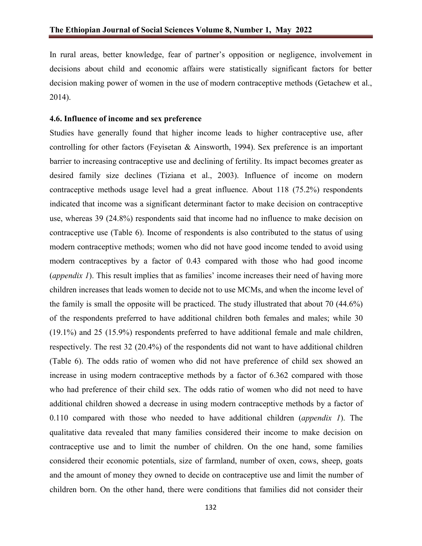In rural areas, better knowledge, fear of partner's opposition or negligence, involvement in decisions about child and economic affairs were statistically significant factors for better decision making power of women in the use of modern contraceptive methods (Getachew et al., 2014).

## **4.6. Influence of income and sex preference**

Studies have generally found that higher income leads to higher contraceptive use, after controlling for other factors (Feyisetan & Ainsworth, 1994). Sex preference is an important barrier to increasing contraceptive use and declining of fertility. Its impact becomes greater as desired family size declines (Tiziana et al., 2003). Influence of income on modern contraceptive methods usage level had a great influence. About 118 (75.2%) respondents indicated that income was a significant determinant factor to make decision on contraceptive use, whereas 39 (24.8%) respondents said that income had no influence to make decision on contraceptive use (Table 6). Income of respondents is also contributed to the status of using modern contraceptive methods; women who did not have good income tended to avoid using modern contraceptives by a factor of 0.43 compared with those who had good income (*appendix 1*). This result implies that as families' income increases their need of having more children increases that leads women to decide not to use MCMs, and when the income level of the family is small the opposite will be practiced. The study illustrated that about 70 (44.6%) of the respondents preferred to have additional children both females and males; while 30 (19.1%) and 25 (15.9%) respondents preferred to have additional female and male children, respectively. The rest 32 (20.4%) of the respondents did not want to have additional children (Table 6). The odds ratio of women who did not have preference of child sex showed an increase in using modern contraceptive methods by a factor of 6.362 compared with those who had preference of their child sex. The odds ratio of women who did not need to have additional children showed a decrease in using modern contraceptive methods by a factor of 0.110 compared with those who needed to have additional children (*appendix 1*). The qualitative data revealed that many families considered their income to make decision on contraceptive use and to limit the number of children. On the one hand, some families considered their economic potentials, size of farmland, number of oxen, cows, sheep, goats and the amount of money they owned to decide on contraceptive use and limit the number of children born. On the other hand, there were conditions that families did not consider their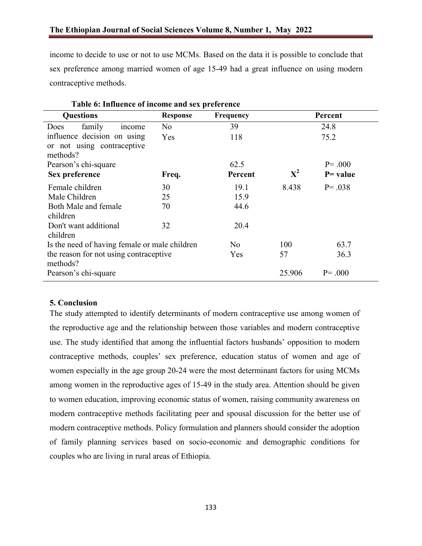income to decide to use or not to use MCMs. Based on the data it is possible to conclude that sex preference among married women of age 15-49 had a great influence on using modern contraceptive methods.

| Taon of Inflactive of income and sex preference |                                                                                         |             |             |  |  |  |  |  |
|-------------------------------------------------|-----------------------------------------------------------------------------------------|-------------|-------------|--|--|--|--|--|
| <b>Response</b>                                 | Frequency                                                                               |             | Percent     |  |  |  |  |  |
| No                                              | 39                                                                                      |             | 24.8        |  |  |  |  |  |
| Yes                                             | 118                                                                                     |             | 75.2        |  |  |  |  |  |
|                                                 |                                                                                         |             |             |  |  |  |  |  |
|                                                 |                                                                                         |             |             |  |  |  |  |  |
|                                                 | 62.5                                                                                    |             | $P = .000$  |  |  |  |  |  |
| Freq.                                           | Percent                                                                                 | ${\bf X}^2$ | $P = value$ |  |  |  |  |  |
| 30                                              | 19.1                                                                                    | 8.438       | $P = .038$  |  |  |  |  |  |
| 25                                              | 15.9                                                                                    |             |             |  |  |  |  |  |
| 70                                              | 44.6                                                                                    |             |             |  |  |  |  |  |
|                                                 |                                                                                         |             |             |  |  |  |  |  |
| 32                                              | 20.4                                                                                    |             |             |  |  |  |  |  |
|                                                 |                                                                                         |             |             |  |  |  |  |  |
|                                                 | No                                                                                      | 100         | 63.7        |  |  |  |  |  |
|                                                 | Yes                                                                                     | 57          | 36.3        |  |  |  |  |  |
|                                                 |                                                                                         |             |             |  |  |  |  |  |
|                                                 |                                                                                         | 25.906      | $P = .000$  |  |  |  |  |  |
|                                                 | Is the need of having female or male children<br>the reason for not using contraceptive |             |             |  |  |  |  |  |

## **5. Conclusion**

The study attempted to identify determinants of modern contraceptive use among women of the reproductive age and the relationship between those variables and modern contraceptive use. The study identified that among the influential factors husbands' opposition to modern contraceptive methods, couples' sex preference, education status of women and age of women especially in the age group 20-24 were the most determinant factors for using MCMs among women in the reproductive ages of 15-49 in the study area. Attention should be given to women education, improving economic status of women, raising community awareness on modern contraceptive methods facilitating peer and spousal discussion for the better use of modern contraceptive methods. Policy formulation and planners should consider the adoption of family planning services based on socio-economic and demographic conditions for couples who are living in rural areas of Ethiopia.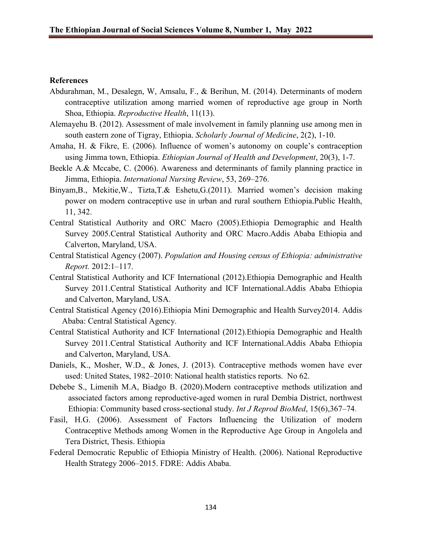### **References**

- Abdurahman, M., Desalegn, W, Amsalu, F., & Berihun, M. (2014). Determinants of modern contraceptive utilization among married women of reproductive age group in North Shoa, Ethiopia. *Reproductive Health*, 11(13).
- Alemayehu B. (2012). Assessment of male involvement in family planning use among men in south eastern zone of Tigray, Ethiopia. *Scholarly Journal of Medicine*, 2(2), 1-10.
- Amaha, H. & Fikre, E. (2006). Influence of women's autonomy on couple's contraception using Jimma town, Ethiopia. *Ethiopian Journal of Health and Development*, 20(3), 1-7.
- Beekle A.& Mccabe, C. (2006). Awareness and determinants of family planning practice in Jimma, Ethiopia. *International Nursing Review*, 53, 269–276.
- Binyam,B., Mekitie,W., Tizta,T.& Eshetu,G.(2011). Married women's decision making power on modern contraceptive use in urban and rural southern Ethiopia.Public Health, 11, 342.
- Central Statistical Authority and ORC Macro (2005).Ethiopia Demographic and Health Survey 2005.Central Statistical Authority and ORC Macro.Addis Ababa Ethiopia and Calverton, Maryland, USA.
- Central Statistical Agency (2007). *Population and Housing census of Ethiopia: administrative Report.* 2012:1–117.
- Central Statistical Authority and ICF International (2012).Ethiopia Demographic and Health Survey 2011.Central Statistical Authority and ICF International.Addis Ababa Ethiopia and Calverton, Maryland, USA.
- Central Statistical Agency (2016).Ethiopia Mini Demographic and Health Survey2014. Addis Ababa: Central Statistical Agency.
- Central Statistical Authority and ICF International (2012).Ethiopia Demographic and Health Survey 2011.Central Statistical Authority and ICF International.Addis Ababa Ethiopia and Calverton, Maryland, USA.
- Daniels, K., Mosher, W.D., & Jones, J. (2013). Contraceptive methods women have ever used: United States, 1982–2010: National health statistics reports. No 62.
- Debebe S., Limenih M.A, Biadgo B. (2020).Modern contraceptive methods utilization and associated factors among reproductive-aged women in rural Dembia District, northwest Ethiopia: Community based cross-sectional study. *Int J Reprod BioMed*, 15(6),367–74.
- Fasil, H.G. (2006). Assessment of Factors Influencing the Utilization of modern Contraceptive Methods among Women in the Reproductive Age Group in Angolela and Tera District, Thesis. Ethiopia
- Federal Democratic Republic of Ethiopia Ministry of Health. (2006). National Reproductive Health Strategy 2006–2015. FDRE: Addis Ababa.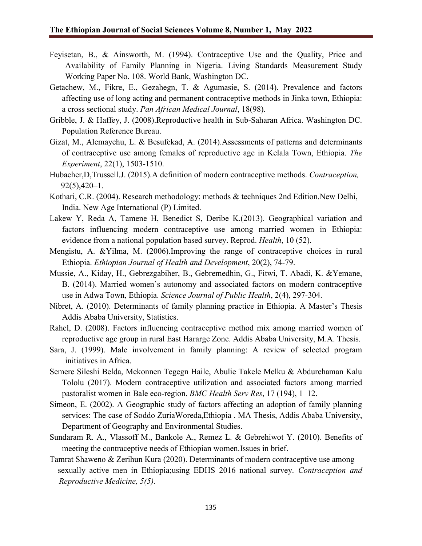- Feyisetan, B., & Ainsworth, M. (1994). Contraceptive Use and the Quality, Price and Availability of Family Planning in Nigeria. Living Standards Measurement Study Working Paper No. 108. World Bank, Washington DC.
- Getachew, M., Fikre, E., Gezahegn, T. & Agumasie, S. (2014). Prevalence and factors affecting use of long acting and permanent contraceptive methods in Jinka town, Ethiopia: a cross sectional study. *Pan African Medical Journal*, 18(98).
- Gribble, J. & Haffey, J. (2008).Reproductive health in Sub-Saharan Africa. Washington DC. Population Reference Bureau.
- Gizat, M., Alemayehu, L. & Besufekad, A. (2014).Assessments of patterns and determinants of contraceptive use among females of reproductive age in Kelala Town, Ethiopia. *The Experiment*, 22(1), 1503-1510.
- Hubacher,D,Trussell.J. (2015).A definition of modern contraceptive methods. *Contraception,*  $92(5)$ , 420–1.
- Kothari, C.R. (2004). Research methodology: methods & techniques 2nd Edition.New Delhi, India. New Age International (P) Limited.
- Lakew Y, Reda A, Tamene H, Benedict S, Deribe K.(2013). Geographical variation and factors influencing modern contraceptive use among married women in Ethiopia: evidence from a national population based survey. Reprod. *Health*, 10 (52).
- Mengistu, A. &Yilma, M. (2006).Improving the range of contraceptive choices in rural Ethiopia. *Ethiopian Journal of Health and Development*, 20(2), 74-79.
- Mussie, A., Kiday, H., Gebrezgabiher, B., Gebremedhin, G., Fitwi, T. Abadi, K. &Yemane, B. (2014). Married women's autonomy and associated factors on modern contraceptive use in Adwa Town, Ethiopia. *Science Journal of Public Health*, 2(4), 297-304.
- Nibret, A. (2010). Determinants of family planning practice in Ethiopia. A Master's Thesis Addis Ababa University, Statistics.
- Rahel, D. (2008). Factors influencing contraceptive method mix among married women of reproductive age group in rural East Hararge Zone. Addis Ababa University, M.A. Thesis.
- Sara, J. (1999). Male involvement in family planning: A review of selected program initiatives in Africa.
- Semere Sileshi Belda, Mekonnen Tegegn Haile, Abulie Takele Melku & Abdurehaman Kalu Tololu (2017). Modern contraceptive utilization and associated factors among married pastoralist women in Bale eco-region. *BMC Health Serv Res*, 17 (194), 1–12.
- Simeon, E. (2002). A Geographic study of factors affecting an adoption of family planning services: The case of Soddo ZuriaWoreda,Ethiopia . MA Thesis, Addis Ababa University, Department of Geography and Environmental Studies.
- Sundaram R. A., Vlassoff M., Bankole A., Remez L. & Gebrehiwot Y. (2010). Benefits of meeting the contraceptive needs of Ethiopian women.Issues in brief.
- Tamrat Shaweno & Zerihun Kura (2020). Determinants of modern contraceptive use among sexually active men in Ethiopia;using EDHS 2016 national survey. *Contraception and Reproductive Medicine, 5(5).*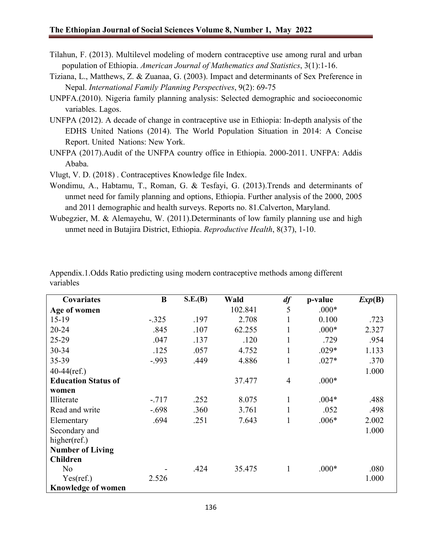- Tilahun, F. (2013). Multilevel modeling of modern contraceptive use among rural and urban population of Ethiopia. *American Journal of Mathematics and Statistics*, 3(1):1-16.
- Tiziana, L., Matthews, Z. & Zuanaa, G. (2003). Impact and determinants of Sex Preference in Nepal. *International Family Planning Perspectives*, 9(2): 69-75
- UNPFA.(2010). Nigeria family planning analysis: Selected demographic and socioeconomic variables. Lagos.
- UNFPA (2012). A decade of change in contraceptive use in Ethiopia: In-depth analysis of the EDHS United Nations (2014). The World Population Situation in 2014: A Concise Report. United Nations: New York.
- UNFPA (2017).Audit of the UNFPA country office in Ethiopia. 2000-2011. UNFPA: Addis Ababa.

Vlugt, V. D. (2018) . Contraceptives Knowledge file Index.

- Wondimu, A., Habtamu, T., Roman, G. & Tesfayi, G. (2013).Trends and determinants of unmet need for family planning and options, Ethiopia. Further analysis of the 2000, 2005 and 2011 demographic and health surveys. Reports no. 81.Calverton, Maryland.
- Wubegzier, M. & Alemayehu, W. (2011).Determinants of low family planning use and high unmet need in Butajira District, Ethiopia. *Reproductive Health*, 8(37), 1-10.

| Covariates                 | B       | S.E.(B) | Wald    | df             | p-value | Exp(B) |
|----------------------------|---------|---------|---------|----------------|---------|--------|
| Age of women               |         |         | 102.841 | 5              | $.000*$ |        |
| $15-19$                    | $-.325$ | .197    | 2.708   | 1              | 0.100   | .723   |
| 20-24                      | .845    | .107    | 62.255  | 1              | $.000*$ | 2.327  |
| 25-29                      | .047    | .137    | .120    | 1              | .729    | .954   |
| 30-34                      | .125    | .057    | 4.752   | 1              | $.029*$ | 1.133  |
| 35-39                      | $-.993$ | .449    | 4.886   | 1              | $.027*$ | .370   |
| $40-44$ (ref.)             |         |         |         |                |         | 1.000  |
| <b>Education Status of</b> |         |         | 37.477  | $\overline{4}$ | $.000*$ |        |
| women                      |         |         |         |                |         |        |
| Illiterate                 | $-717$  | .252    | 8.075   | 1              | $.004*$ | .488   |
| Read and write             | $-.698$ | .360    | 3.761   | 1              | .052    | .498   |
| Elementary                 | .694    | .251    | 7.643   | 1              | $.006*$ | 2.002  |
| Secondary and              |         |         |         |                |         | 1.000  |
| higher(ref.)               |         |         |         |                |         |        |
| <b>Number of Living</b>    |         |         |         |                |         |        |
| <b>Children</b>            |         |         |         |                |         |        |
| N <sub>o</sub>             |         | .424    | 35.475  | 1              | $.000*$ | .080   |
| Yes(ref.)                  | 2.526   |         |         |                |         | 1.000  |
| <b>Knowledge of women</b>  |         |         |         |                |         |        |

Appendix.1.Odds Ratio predicting using modern contraceptive methods among different variables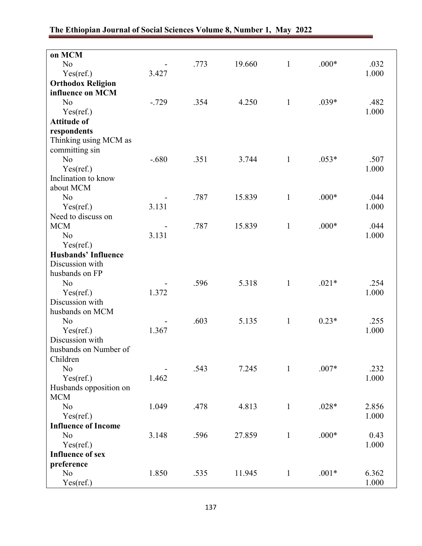| on MCM                     |         |      |        |              |         |       |
|----------------------------|---------|------|--------|--------------|---------|-------|
| No                         |         | .773 | 19.660 | $\mathbf{1}$ | $.000*$ | .032  |
| Yes(ref.)                  | 3.427   |      |        |              |         | 1.000 |
| <b>Orthodox Religion</b>   |         |      |        |              |         |       |
| influence on MCM           |         |      |        |              |         |       |
| N <sub>o</sub>             | $-.729$ | .354 | 4.250  | $\mathbf{1}$ | $.039*$ | .482  |
| Yes(ref.)                  |         |      |        |              |         | 1.000 |
| <b>Attitude of</b>         |         |      |        |              |         |       |
| respondents                |         |      |        |              |         |       |
| Thinking using MCM as      |         |      |        |              |         |       |
| committing sin             |         |      |        |              |         |       |
| No                         | $-.680$ | .351 | 3.744  | $\mathbf{1}$ | $.053*$ | .507  |
| Yes(ref.)                  |         |      |        |              |         | 1.000 |
| Inclination to know        |         |      |        |              |         |       |
| about MCM                  |         |      |        |              |         |       |
| N <sub>o</sub>             |         | .787 | 15.839 | $\mathbf{1}$ | $.000*$ | .044  |
| Yes(ref.)                  | 3.131   |      |        |              |         | 1.000 |
| Need to discuss on         |         |      |        |              |         |       |
| <b>MCM</b>                 |         | .787 | 15.839 | $\mathbf{1}$ | $.000*$ | .044  |
| N <sub>o</sub>             | 3.131   |      |        |              |         | 1.000 |
| Yes(ref.)                  |         |      |        |              |         |       |
| <b>Husbands' Influence</b> |         |      |        |              |         |       |
| Discussion with            |         |      |        |              |         |       |
| husbands on FP             |         |      |        |              |         |       |
| No                         |         | .596 | 5.318  | $\mathbf{1}$ | $.021*$ | .254  |
| Yes(ref.)                  | 1.372   |      |        |              |         | 1.000 |
| Discussion with            |         |      |        |              |         |       |
| husbands on MCM            |         |      |        |              |         |       |
| No                         |         | .603 | 5.135  | $\mathbf{1}$ | $0.23*$ | .255  |
| Yes(ref.)                  | 1.367   |      |        |              |         | 1.000 |
| Discussion with            |         |      |        |              |         |       |
| husbands on Number of      |         |      |        |              |         |       |
| Children                   |         |      |        |              |         |       |
| No                         |         | .543 | 7.245  | $\mathbf{1}$ | $.007*$ | .232  |
| Yes(ref.)                  | 1.462   |      |        |              |         | 1.000 |
| Husbands opposition on     |         |      |        |              |         |       |
| <b>MCM</b>                 |         |      |        |              |         |       |
| N <sub>o</sub>             | 1.049   | .478 | 4.813  | $\mathbf{1}$ | $.028*$ | 2.856 |
| Yes(ref.)                  |         |      |        |              |         | 1.000 |
| <b>Influence of Income</b> |         |      |        |              |         |       |
| N <sub>o</sub>             | 3.148   | .596 | 27.859 | $\mathbf{1}$ | $.000*$ | 0.43  |
| Yes(ref.)                  |         |      |        |              |         | 1.000 |
| <b>Influence of sex</b>    |         |      |        |              |         |       |
| preference                 |         |      |        |              |         |       |
| N <sub>o</sub>             | 1.850   | .535 | 11.945 | $\mathbf{1}$ | $.001*$ | 6.362 |
| Yes(ref.)                  |         |      |        |              |         | 1.000 |
|                            |         |      |        |              |         |       |

## **The Ethiopian Journal of Social Sciences Volume 8, Number 1, May 2022**